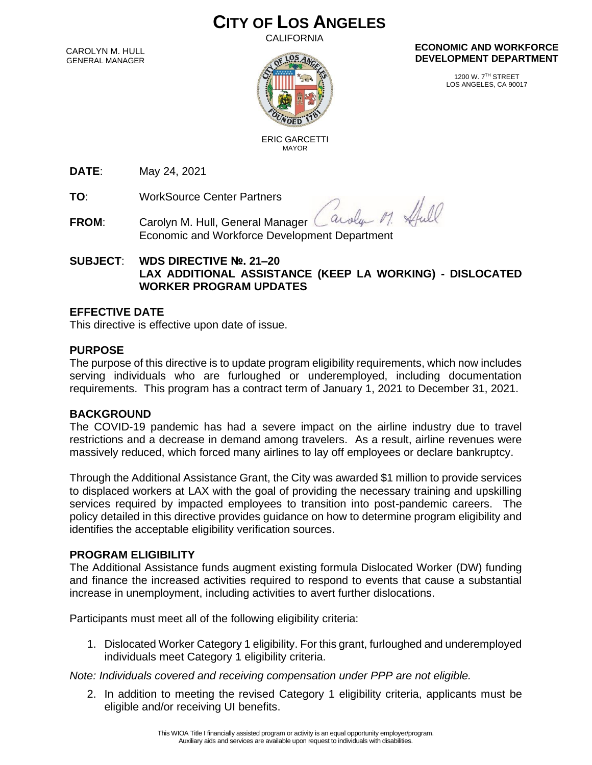# **CITY OF LOS ANGELES**

CALIFORNIA

CAROLYN M. HULL GENERAL MANAGER



#### **ECONOMIC AND WORKFORCE DEVELOPMENT DEPARTMENT**

1200 W. 7TH STREET LOS ANGELES, CA 90017

 ERIC GARCETTI MAYOR

**DATE**: May 24, 2021

**TO**: WorkSource Center Partners

Shull arola  $M$ 

**FROM:** Carolyn M. Hull, General Manager Economic and Workforce Development Department

# **SUBJECT**: **WDS DIRECTIVE №. 21–20 LAX ADDITIONAL ASSISTANCE (KEEP LA WORKING) - DISLOCATED WORKER PROGRAM UPDATES**

### **EFFECTIVE DATE**

This directive is effective upon date of issue.

### **PURPOSE**

The purpose of this directive is to update program eligibility requirements, which now includes serving individuals who are furloughed or underemployed, including documentation requirements. This program has a contract term of January 1, 2021 to December 31, 2021.

### **BACKGROUND**

The COVID-19 pandemic has had a severe impact on the airline industry due to travel restrictions and a decrease in demand among travelers. As a result, airline revenues were massively reduced, which forced many airlines to lay off employees or declare bankruptcy.

Through the Additional Assistance Grant, the City was awarded \$1 million to provide services to displaced workers at LAX with the goal of providing the necessary training and upskilling services required by impacted employees to transition into post-pandemic careers. The policy detailed in this directive provides guidance on how to determine program eligibility and identifies the acceptable eligibility verification sources.

### **PROGRAM ELIGIBILITY**

The Additional Assistance funds augment existing formula Dislocated Worker (DW) funding and finance the increased activities required to respond to events that cause a substantial increase in unemployment, including activities to avert further dislocations.

Participants must meet all of the following eligibility criteria:

1. Dislocated Worker Category 1 eligibility. For this grant, furloughed and underemployed individuals meet Category 1 eligibility criteria.

*Note: Individuals covered and receiving compensation under PPP are not eligible.*

2. In addition to meeting the revised Category 1 eligibility criteria, applicants must be eligible and/or receiving UI benefits.